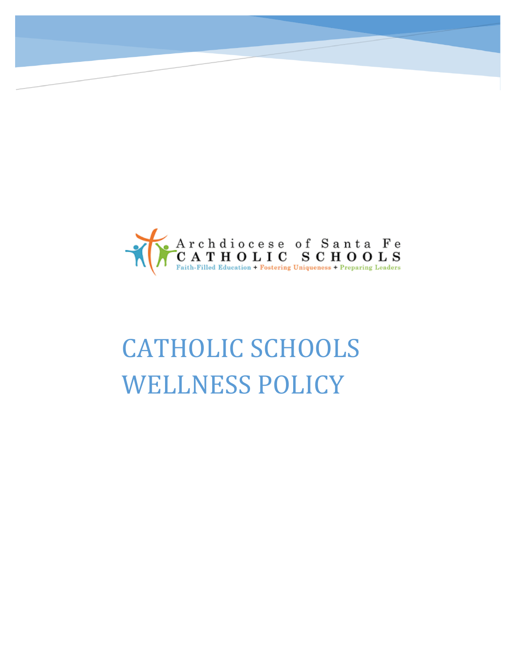

# CATHOLIC SCHOOLS WELLNESS POLICY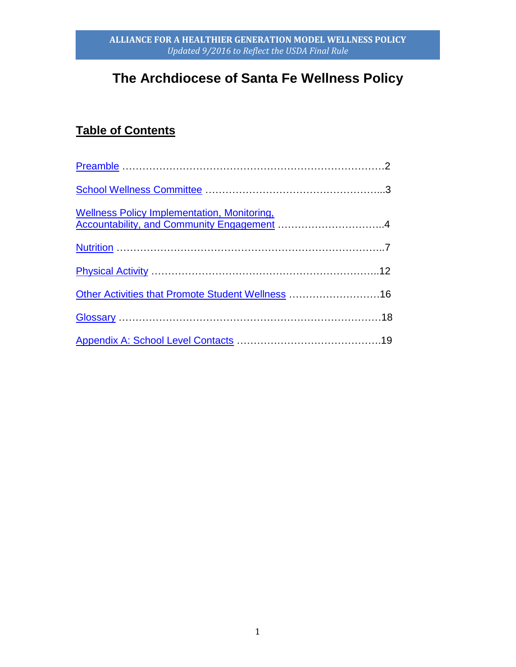# **The Archdiocese of Santa Fe Wellness Policy**

# **Table of Contents**

| Other Activities that Promote Student Wellness 16 |  |
|---------------------------------------------------|--|
|                                                   |  |
|                                                   |  |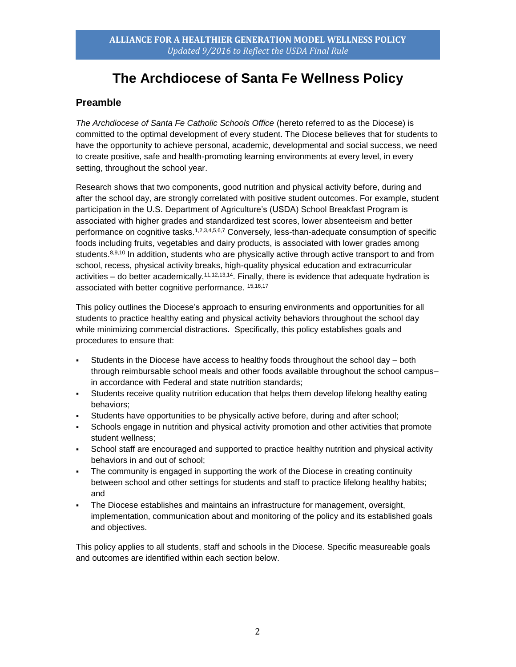# **The Archdiocese of Santa Fe Wellness Policy**

## <span id="page-2-0"></span>**Preamble**

*The Archdiocese of Santa Fe Catholic Schools Office* (hereto referred to as the Diocese) is committed to the optimal development of every student. The Diocese believes that for students to have the opportunity to achieve personal, academic, developmental and social success, we need to create positive, safe and health-promoting learning environments at every level, in every setting, throughout the school year.

Research shows that two components, good nutrition and physical activity before, during and after the school day, are strongly correlated with positive student outcomes. For example, student participation in the U.S. Department of Agriculture's (USDA) School Breakfast Program is associated with higher grades and standardized test scores, lower absenteeism and better performance on cognitive tasks.<sup>1,2,3,4,5,6,7</sup> Conversely, less-than-adequate consumption of specific foods including fruits, vegetables and dairy products, is associated with lower grades among students.<sup>8,9,10</sup> In addition, students who are physically active through active transport to and from school, recess, physical activity breaks, high-quality physical education and extracurricular activities – do better academically.<sup>11,12,13,14</sup>. Finally, there is evidence that adequate hydration is associated with better cognitive performance. 15,16,17

This policy outlines the Diocese's approach to ensuring environments and opportunities for all students to practice healthy eating and physical activity behaviors throughout the school day while minimizing commercial distractions. Specifically, this policy establishes goals and procedures to ensure that:

- $\blacksquare$  Students in the Diocese have access to healthy foods throughout the school day  $-$  both through reimbursable school meals and other foods available throughout the school campusin accordance with Federal and state nutrition standards;
- Students receive quality nutrition education that helps them develop lifelong healthy eating behaviors;
- Students have opportunities to be physically active before, during and after school;
- Schools engage in nutrition and physical activity promotion and other activities that promote student wellness;
- School staff are encouraged and supported to practice healthy nutrition and physical activity behaviors in and out of school;
- The community is engaged in supporting the work of the Diocese in creating continuity between school and other settings for students and staff to practice lifelong healthy habits; and
- The Diocese establishes and maintains an infrastructure for management, oversight, implementation, communication about and monitoring of the policy and its established goals and objectives.

This policy applies to all students, staff and schools in the Diocese. Specific measureable goals and outcomes are identified within each section below.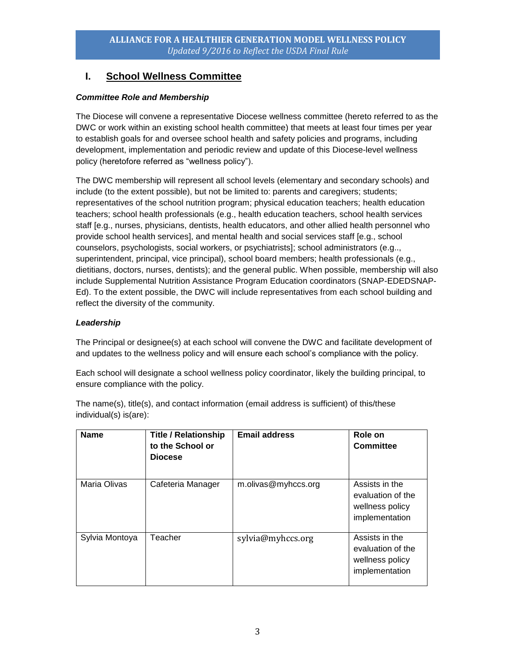# <span id="page-3-0"></span>**I. School Wellness Committee**

#### *Committee Role and Membership*

The Diocese will convene a representative Diocese wellness committee (hereto referred to as the DWC or work within an existing school health committee) that meets at least four times per year to establish goals for and oversee school health and safety policies and programs, including development, implementation and periodic review and update of this Diocese-level wellness policy (heretofore referred as "wellness policy").

The DWC membership will represent all school levels (elementary and secondary schools) and include (to the extent possible), but not be limited to: parents and caregivers; students; representatives of the school nutrition program; physical education teachers; health education teachers; school health professionals (e.g., health education teachers, school health services staff [e.g., nurses, physicians, dentists, health educators, and other allied health personnel who provide school health services], and mental health and social services staff [e.g., school counselors, psychologists, social workers, or psychiatrists]; school administrators (e.g.., superintendent, principal, vice principal), school board members; health professionals (e.g., dietitians, doctors, nurses, dentists); and the general public. When possible, membership will also include Supplemental Nutrition Assistance Program Education coordinators (SNAP-EDEDSNAP-Ed). To the extent possible, the DWC will include representatives from each school building and reflect the diversity of the community.

#### *Leadership*

The Principal or designee(s) at each school will convene the DWC and facilitate development of and updates to the wellness policy and will ensure each school's compliance with the policy.

Each school will designate a school wellness policy coordinator, likely the building principal, to ensure compliance with the policy.

The name(s), title(s), and contact information (email address is sufficient) of this/these individual(s) is(are):

| <b>Name</b>    | <b>Title / Relationship</b><br>to the School or<br><b>Diocese</b> | <b>Email address</b> | Role on<br><b>Committee</b>                                              |
|----------------|-------------------------------------------------------------------|----------------------|--------------------------------------------------------------------------|
| Maria Olivas   | Cafeteria Manager                                                 | m.olivas@myhccs.org  | Assists in the<br>evaluation of the<br>wellness policy<br>implementation |
| Sylvia Montoya | Teacher                                                           | sylvia@myhccs.org    | Assists in the<br>evaluation of the<br>wellness policy<br>implementation |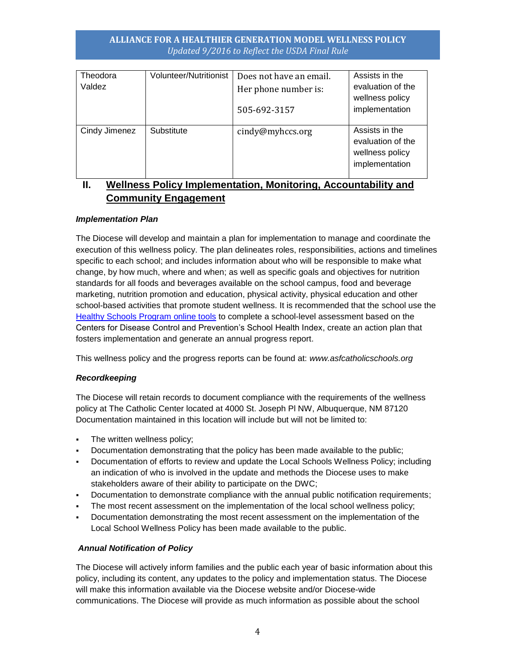| Theodora<br>Valdez | <b>Volunteer/Nutritionist</b> | Does not have an email.<br>Her phone number is:<br>505-692-3157 | Assists in the<br>evaluation of the<br>wellness policy<br>implementation |
|--------------------|-------------------------------|-----------------------------------------------------------------|--------------------------------------------------------------------------|
| Cindy Jimenez      | Substitute                    | cindy@myhccs.org                                                | Assists in the<br>evaluation of the<br>wellness policy<br>implementation |

# <span id="page-4-0"></span>**II. Wellness Policy Implementation, Monitoring, Accountability and Community Engagement**

#### *Implementation Plan*

The Diocese will develop and maintain a plan for implementation to manage and coordinate the execution of this wellness policy. The plan delineates roles, responsibilities, actions and timelines specific to each school; and includes information about who will be responsible to make what change, by how much, where and when; as well as specific goals and objectives for nutrition standards for all foods and beverages available on the school campus, food and beverage marketing, nutrition promotion and education, physical activity, physical education and other school-based activities that promote student wellness. It is recommended that the school use the [Healthy Schools Program online tools](http://www.schools.healthiergeneration.org/) to complete a school-level assessment based on the Centers for Disease Control and Prevention's School Health Index, create an action plan that fosters implementation and generate an annual progress report.

This wellness policy and the progress reports can be found at: *www.asfcatholicschools.org*

#### *Recordkeeping*

The Diocese will retain records to document compliance with the requirements of the wellness policy at The Catholic Center located at 4000 St. Joseph Pl NW, Albuquerque, NM 87120 Documentation maintained in this location will include but will not be limited to:

- **The written wellness policy;**
- Documentation demonstrating that the policy has been made available to the public;
- Documentation of efforts to review and update the Local Schools Wellness Policy; including an indication of who is involved in the update and methods the Diocese uses to make stakeholders aware of their ability to participate on the DWC;
- Documentation to demonstrate compliance with the annual public notification requirements;
- The most recent assessment on the implementation of the local school wellness policy;
- Documentation demonstrating the most recent assessment on the implementation of the Local School Wellness Policy has been made available to the public.

#### *Annual Notification of Policy*

The Diocese will actively inform families and the public each year of basic information about this policy, including its content, any updates to the policy and implementation status. The Diocese will make this information available via the Diocese website and/or Diocese-wide communications. The Diocese will provide as much information as possible about the school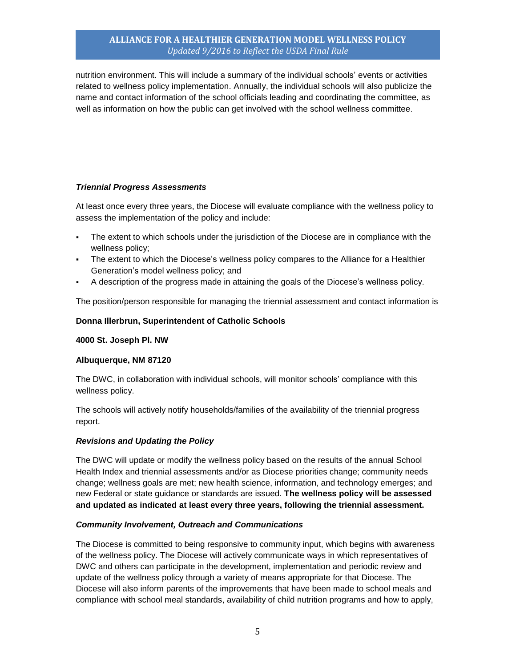nutrition environment. This will include a summary of the individual schools' events or activities related to wellness policy implementation. Annually, the individual schools will also publicize the name and contact information of the school officials leading and coordinating the committee, as well as information on how the public can get involved with the school wellness committee.

#### *Triennial Progress Assessments*

At least once every three years, the Diocese will evaluate compliance with the wellness policy to assess the implementation of the policy and include:

- The extent to which schools under the jurisdiction of the Diocese are in compliance with the wellness policy;
- The extent to which the Diocese's wellness policy compares to the Alliance for a Healthier Generation's model wellness policy; and
- A description of the progress made in attaining the goals of the Diocese's wellness policy.

The position/person responsible for managing the triennial assessment and contact information is

#### **Donna Illerbrun, Superintendent of Catholic Schools**

**4000 St. Joseph Pl. NW**

#### **Albuquerque, NM 87120**

The DWC, in collaboration with individual schools, will monitor schools' compliance with this wellness policy.

The schools will actively notify households/families of the availability of the triennial progress report.

#### *Revisions and Updating the Policy*

The DWC will update or modify the wellness policy based on the results of the annual School Health Index and triennial assessments and/or as Diocese priorities change; community needs change; wellness goals are met; new health science, information, and technology emerges; and new Federal or state guidance or standards are issued. **The wellness policy will be assessed and updated as indicated at least every three years, following the triennial assessment.**

#### *Community Involvement, Outreach and Communications*

The Diocese is committed to being responsive to community input, which begins with awareness of the wellness policy. The Diocese will actively communicate ways in which representatives of DWC and others can participate in the development, implementation and periodic review and update of the wellness policy through a variety of means appropriate for that Diocese. The Diocese will also inform parents of the improvements that have been made to school meals and compliance with school meal standards, availability of child nutrition programs and how to apply,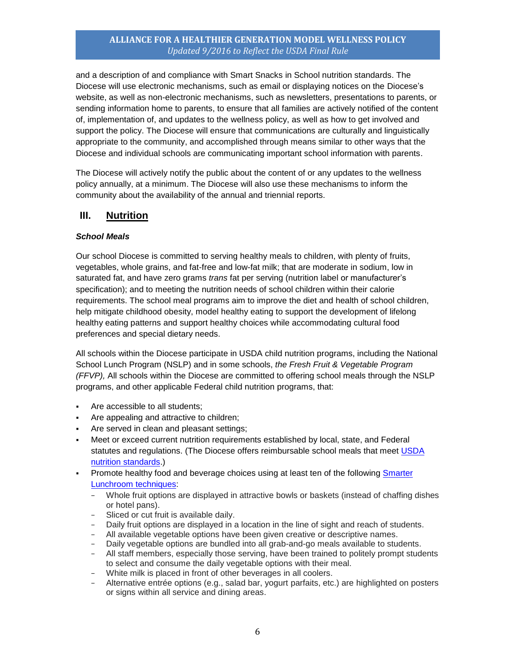and a description of and compliance with Smart Snacks in School nutrition standards. The Diocese will use electronic mechanisms, such as email or displaying notices on the Diocese's website, as well as non-electronic mechanisms, such as newsletters, presentations to parents, or sending information home to parents, to ensure that all families are actively notified of the content of, implementation of, and updates to the wellness policy, as well as how to get involved and support the policy. The Diocese will ensure that communications are culturally and linguistically appropriate to the community, and accomplished through means similar to other ways that the Diocese and individual schools are communicating important school information with parents.

The Diocese will actively notify the public about the content of or any updates to the wellness policy annually, at a minimum. The Diocese will also use these mechanisms to inform the community about the availability of the annual and triennial reports.

## <span id="page-6-0"></span>**III. Nutrition**

#### *School Meals*

Our school Diocese is committed to serving healthy meals to children, with plenty of fruits, vegetables, whole grains, and fat-free and low-fat milk; that are moderate in sodium, low in saturated fat, and have zero grams *trans* fat per serving (nutrition label or manufacturer's specification); and to meeting the nutrition needs of school children within their calorie requirements. The school meal programs aim to improve the diet and health of school children, help mitigate childhood obesity, model healthy eating to support the development of lifelong healthy eating patterns and support healthy choices while accommodating cultural food preferences and special dietary needs.

All schools within the Diocese participate in USDA child nutrition programs, including the National School Lunch Program (NSLP) and in some schools, *the Fresh Fruit & Vegetable Program (FFVP),* All schools within the Diocese are committed to offering school meals through the NSLP programs, and other applicable Federal child nutrition programs, that:

- Are accessible to all students;
- Are appealing and attractive to children;
- Are served in clean and pleasant settings;
- Meet or exceed current nutrition requirements established by local, state, and Federal statutes and regulations. (The Diocese offers reimbursable school meals that meet [USDA](http://www.fns.usda.gov/school-meals/nutrition-standards-school-meals)  [nutrition standards.\)](http://www.fns.usda.gov/school-meals/nutrition-standards-school-meals)
- Promote healthy food and beverage choices using at least ten of the following [Smarter](http://smarterlunchrooms.org/ideas)  [Lunchroom techniques:](http://smarterlunchrooms.org/ideas)
	- − Whole fruit options are displayed in attractive bowls or baskets (instead of chaffing dishes or hotel pans).
	- − Sliced or cut fruit is available daily.
	- Daily fruit options are displayed in a location in the line of sight and reach of students.
	- − All available vegetable options have been given creative or descriptive names.
	- − Daily vegetable options are bundled into all grab-and-go meals available to students.
	- − All staff members, especially those serving, have been trained to politely prompt students to select and consume the daily vegetable options with their meal.
	- − White milk is placed in front of other beverages in all coolers.
	- − Alternative entrée options (e.g., salad bar, yogurt parfaits, etc.) are highlighted on posters or signs within all service and dining areas.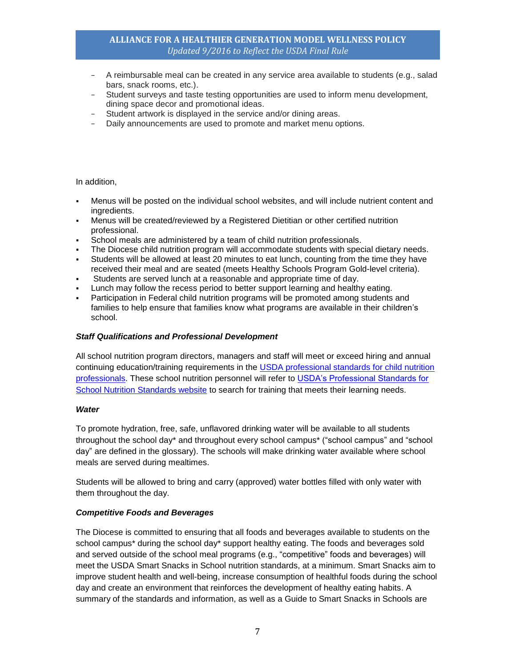- − A reimbursable meal can be created in any service area available to students (e.g., salad bars, snack rooms, etc.).
- − Student surveys and taste testing opportunities are used to inform menu development, dining space decor and promotional ideas.
- Student artwork is displayed in the service and/or dining areas.
- Daily announcements are used to promote and market menu options.

In addition,

- Menus will be posted on the individual school websites, and will include nutrient content and ingredients.
- Menus will be created/reviewed by a Registered Dietitian or other certified nutrition professional.
- School meals are administered by a team of child nutrition professionals.
- The Diocese child nutrition program will accommodate students with special dietary needs.
- Students will be allowed at least 20 minutes to eat lunch, counting from the time they have received their meal and are seated (meets Healthy Schools Program Gold-level criteria).
- Students are served lunch at a reasonable and appropriate time of day.
- Lunch may follow the recess period to better support learning and healthy eating.
- Participation in Federal child nutrition programs will be promoted among students and families to help ensure that families know what programs are available in their children's school.

#### *Staff Qualifications and Professional Development*

All school nutrition program directors, managers and staff will meet or exceed hiring and annual continuing education/training requirements in the [USDA professional standards for child nutrition](http://www.fns.usda.gov/sites/default/files/CN2014-0130.pdf)  [professionals.](http://www.fns.usda.gov/sites/default/files/CN2014-0130.pdf) These school nutrition personnel will refer to [USDA's Professional Standards for](http://professionalstandards.nal.usda.gov/)  [School Nutrition Standards website](http://professionalstandards.nal.usda.gov/) to search for training that meets their learning needs.

#### *Water*

To promote hydration, free, safe, unflavored drinking water will be available to all students throughout the school day\* and throughout every school campus\* ("school campus" and "school day" are defined in the glossary). The schools will make drinking water available where school meals are served during mealtimes.

Students will be allowed to bring and carry (approved) water bottles filled with only water with them throughout the day.

#### *Competitive Foods and Beverages*

The Diocese is committed to ensuring that all foods and beverages available to students on the school campus\* during the school day\* support healthy eating. The foods and beverages sold and served outside of the school meal programs (e.g., "competitive" foods and beverages) will meet the USDA Smart Snacks in School nutrition standards, at a minimum. Smart Snacks aim to improve student health and well-being, increase consumption of healthful foods during the school day and create an environment that reinforces the development of healthy eating habits. A summary of the standards and information, as well as a Guide to Smart Snacks in Schools are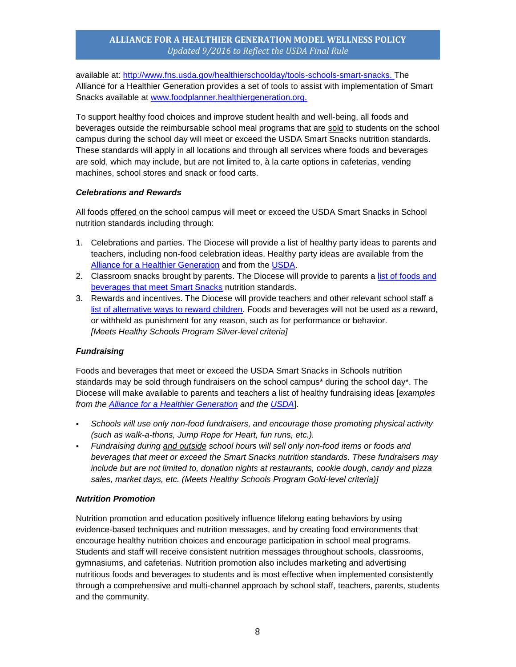available at: [http://www.fns.usda.gov/healthierschoolday/tools-schools-smart-snacks.](http://www.fns.usda.gov/healthierschoolday/tools-schools-smart-snacks) The Alliance for a Healthier Generation provides a set of tools to assist with implementation of Smart Snacks available at [www.foodplanner.healthiergeneration.org.](http://www.foodplanner.healthiergeneration.org/)

To support healthy food choices and improve student health and well-being, all foods and beverages outside the reimbursable school meal programs that are sold to students on the school campus during the school day will meet or exceed the USDA Smart Snacks nutrition standards. These standards will apply in all locations and through all services where foods and beverages are sold, which may include, but are not limited to, à la carte options in cafeterias, vending machines, school stores and snack or food carts.

#### *Celebrations and Rewards*

All foods offered on the school campus will meet or exceed the USDA Smart Snacks in School nutrition standards including through:

- 1. Celebrations and parties. The Diocese will provide a list of healthy party ideas to parents and teachers, including non-food celebration ideas. Healthy party ideas are available from the [Alliance for a Healthier Generation](https://www.healthiergeneration.org/take_action/schools/snacks_and_beverages/celebrations/) and from the [USDA.](http://healthymeals.nal.usda.gov/local-wellness-policy-resources/wellness-policy-elements/healthy-celebrations)
- 2. Classroom snacks brought by parents. The Diocese will provide to parents a list of foods and [beverages that meet Smart Snacks](https://www.healthiergeneration.org/live_healthier/eat_healthier/alliance_product_navigator/browse_products/?product_category_id=720) nutrition standards.
- 3. Rewards and incentives. The Diocese will provide teachers and other relevant school staff a [list of alternative ways to reward children.](https://www.healthiergeneration.org/take_action/schools/snacks_and_beverages/non-food_rewards/) Foods and beverages will not be used as a reward, or withheld as punishment for any reason, such as for performance or behavior. *[Meets Healthy Schools Program Silver-level criteria]*

#### *Fundraising*

Foods and beverages that meet or exceed the USDA Smart Snacks in Schools nutrition standards may be sold through fundraisers on the school campus\* during the school day\*. The Diocese will make available to parents and teachers a list of healthy fundraising ideas [*examples from the [Alliance for a Healthier Generation](https://www.healthiergeneration.org/take_action/schools/snacks_and_beverages/fundraisers/) and the [USDA](http://healthymeals.nal.usda.gov/local-wellness-policy-resources/wellness-policy-elements/healthy-fundraising)*].

- *Schools will use only non-food fundraisers, and encourage those promoting physical activity (such as walk-a-thons, Jump Rope for Heart, fun runs, etc.).*
- *Fundraising during and outside school hours will sell only non-food items or foods and beverages that meet or exceed the Smart Snacks nutrition standards. These fundraisers may include but are not limited to, donation nights at restaurants, cookie dough, candy and pizza sales, market days, etc. (Meets Healthy Schools Program Gold-level criteria)]*

#### *Nutrition Promotion*

Nutrition promotion and education positively influence lifelong eating behaviors by using evidence-based techniques and nutrition messages, and by creating food environments that encourage healthy nutrition choices and encourage participation in school meal programs. Students and staff will receive consistent nutrition messages throughout schools, classrooms, gymnasiums, and cafeterias. Nutrition promotion also includes marketing and advertising nutritious foods and beverages to students and is most effective when implemented consistently through a comprehensive and multi-channel approach by school staff, teachers, parents, students and the community.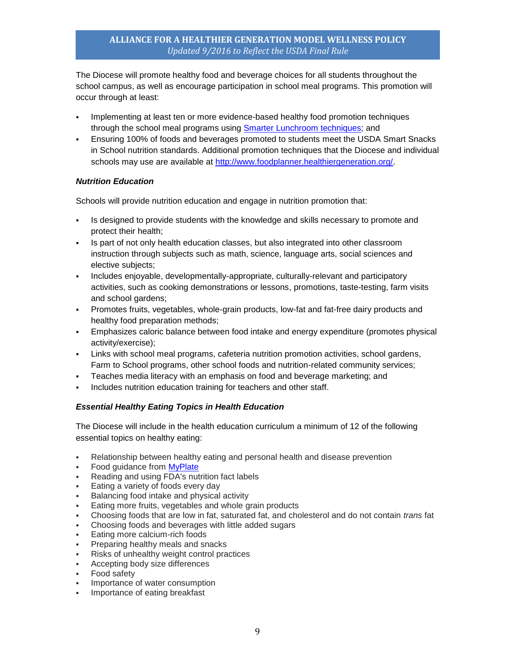The Diocese will promote healthy food and beverage choices for all students throughout the school campus, as well as encourage participation in school meal programs. This promotion will occur through at least:

- Implementing at least ten or more evidence-based healthy food promotion techniques through the school meal programs using **Smarter Lunchroom techniques**; and
- Ensuring 100% of foods and beverages promoted to students meet the USDA Smart Snacks in School nutrition standards. Additional promotion techniques that the Diocese and individual schools may use are available at [http://www.foodplanner.healthiergeneration.org/.](http://www.foodplanner.healthiergeneration.org/)

#### *Nutrition Education*

Schools will provide nutrition education and engage in nutrition promotion that:

- Is designed to provide students with the knowledge and skills necessary to promote and protect their health;
- Is part of not only health education classes, but also integrated into other classroom instruction through subjects such as math, science, language arts, social sciences and elective subjects;
- Includes enjoyable, developmentally-appropriate, culturally-relevant and participatory activities, such as cooking demonstrations or lessons, promotions, taste-testing, farm visits and school gardens;
- Promotes fruits, vegetables, whole-grain products, low-fat and fat-free dairy products and healthy food preparation methods;
- Emphasizes caloric balance between food intake and energy expenditure (promotes physical activity/exercise);
- Links with school meal programs, cafeteria nutrition promotion activities, school gardens, Farm to School programs, other school foods and nutrition-related community services;
- Teaches media literacy with an emphasis on food and beverage marketing; and
- Includes nutrition education training for teachers and other staff.

#### *Essential Healthy Eating Topics in Health Education*

The Diocese will include in the health education curriculum a minimum of 12 of the following essential topics on healthy eating:

- Relationship between healthy eating and personal health and disease prevention
- Food guidance from [MyPlate](http://www.choosemyplate.gov/)
- Reading and using FDA's nutrition fact labels
- Eating a variety of foods every day
- Balancing food intake and physical activity
- Eating more fruits, vegetables and whole grain products
- Choosing foods that are low in fat, saturated fat, and cholesterol and do not contain *trans* fat
- Choosing foods and beverages with little added sugars
- Eating more calcium-rich foods
- Preparing healthy meals and snacks
- Risks of unhealthy weight control practices
- Accepting body size differences
- Food safety
- Importance of water consumption
- Importance of eating breakfast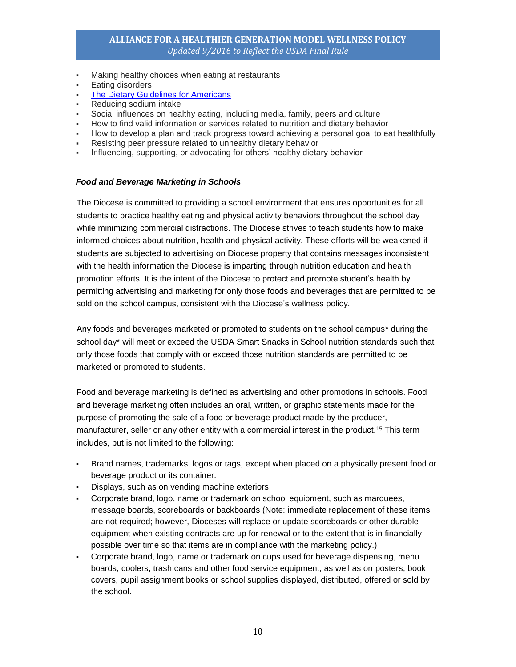- Making healthy choices when eating at restaurants
- Eating disorders
- [The Dietary Guidelines for Americans](https://www.choosemyplate.gov/dietary-guidelines)
- Reducing sodium intake
- Social influences on healthy eating, including media, family, peers and culture
- How to find valid information or services related to nutrition and dietary behavior
- How to develop a plan and track progress toward achieving a personal goal to eat healthfully
- Resisting peer pressure related to unhealthy dietary behavior
- Influencing, supporting, or advocating for others' healthy dietary behavior

#### *Food and Beverage Marketing in Schools*

The Diocese is committed to providing a school environment that ensures opportunities for all students to practice healthy eating and physical activity behaviors throughout the school day while minimizing commercial distractions. The Diocese strives to teach students how to make informed choices about nutrition, health and physical activity. These efforts will be weakened if students are subjected to advertising on Diocese property that contains messages inconsistent with the health information the Diocese is imparting through nutrition education and health promotion efforts. It is the intent of the Diocese to protect and promote student's health by permitting advertising and marketing for only those foods and beverages that are permitted to be sold on the school campus, consistent with the Diocese's wellness policy.

Any foods and beverages marketed or promoted to students on the school campus\* during the school day\* will meet or exceed the USDA Smart Snacks in School nutrition standards such that only those foods that comply with or exceed those nutrition standards are permitted to be marketed or promoted to students.

Food and beverage marketing is defined as advertising and other promotions in schools. Food and beverage marketing often includes an oral, written, or graphic statements made for the purpose of promoting the sale of a food or beverage product made by the producer, manufacturer, seller or any other entity with a commercial interest in the product.<sup>15</sup> This term includes, but is not limited to the following:

- Brand names, trademarks, logos or tags, except when placed on a physically present food or beverage product or its container.
- Displays, such as on vending machine exteriors
- Corporate brand, logo, name or trademark on school equipment, such as marquees, message boards, scoreboards or backboards (Note: immediate replacement of these items are not required; however, Dioceses will replace or update scoreboards or other durable equipment when existing contracts are up for renewal or to the extent that is in financially possible over time so that items are in compliance with the marketing policy.)
- Corporate brand, logo, name or trademark on cups used for beverage dispensing, menu boards, coolers, trash cans and other food service equipment; as well as on posters, book covers, pupil assignment books or school supplies displayed, distributed, offered or sold by the school.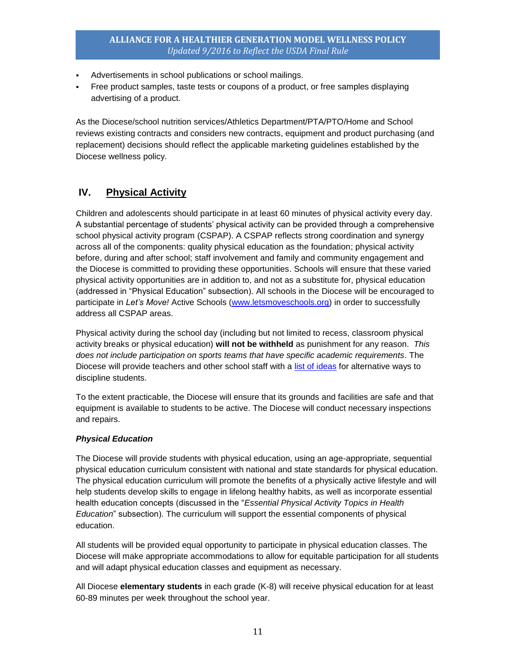- Advertisements in school publications or school mailings.
- Free product samples, taste tests or coupons of a product, or free samples displaying advertising of a product.

As the Diocese/school nutrition services/Athletics Department/PTA/PTO/Home and School reviews existing contracts and considers new contracts, equipment and product purchasing (and replacement) decisions should reflect the applicable marketing guidelines established by the Diocese wellness policy.

# <span id="page-11-0"></span>**IV. Physical Activity**

Children and adolescents should participate in at least 60 minutes of physical activity every day. A substantial percentage of students' physical activity can be provided through a comprehensive school physical activity program (CSPAP). A CSPAP reflects strong coordination and synergy across all of the components: quality physical education as the foundation; physical activity before, during and after school; staff involvement and family and community engagement and the Diocese is committed to providing these opportunities. Schools will ensure that these varied physical activity opportunities are in addition to, and not as a substitute for, physical education (addressed in "Physical Education" subsection). All schools in the Diocese will be encouraged to participate in *Let's Move!* Active Schools [\(www.letsmoveschools.org\)](http://www.letsmoveschools.org/) in order to successfully address all CSPAP areas.

Physical activity during the school day (including but not limited to recess, classroom physical activity breaks or physical education) **will not be withheld** as punishment for any reason. *This does not include participation on sports teams that have specific academic requirements*. The Diocese will provide teachers and other school staff with a [list of ideas](http://cspinet.org/new/pdf/constructive_classroom_rewards.pdf) for alternative ways to discipline students.

To the extent practicable, the Diocese will ensure that its grounds and facilities are safe and that equipment is available to students to be active. The Diocese will conduct necessary inspections and repairs.

#### *Physical Education*

The Diocese will provide students with physical education, using an age-appropriate, sequential physical education curriculum consistent with national and state standards for physical education. The physical education curriculum will promote the benefits of a physically active lifestyle and will help students develop skills to engage in lifelong healthy habits, as well as incorporate essential health education concepts (discussed in the "*Essential Physical Activity Topics in Health Education*" subsection). The curriculum will support the essential components of physical education.

All students will be provided equal opportunity to participate in physical education classes. The Diocese will make appropriate accommodations to allow for equitable participation for all students and will adapt physical education classes and equipment as necessary.

All Diocese **elementary students** in each grade (K-8) will receive physical education for at least 60-89 minutes per week throughout the school year.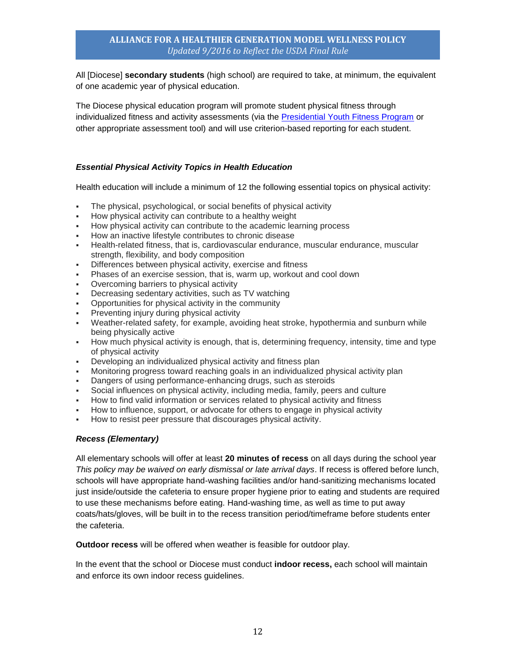All [Diocese] **secondary students** (high school) are required to take, at minimum, the equivalent of one academic year of physical education.

The Diocese physical education program will promote student physical fitness through individualized fitness and activity assessments (via the [Presidential Youth Fitness Program](http://www.pyfp.org/) or other appropriate assessment tool) and will use criterion-based reporting for each student.

#### *Essential Physical Activity Topics in Health Education*

Health education will include a minimum of 12 the following essential topics on physical activity:

- The physical, psychological, or social benefits of physical activity
- How physical activity can contribute to a healthy weight
- How physical activity can contribute to the academic learning process
- How an inactive lifestyle contributes to chronic disease
- Health-related fitness, that is, cardiovascular endurance, muscular endurance, muscular strength, flexibility, and body composition
- Differences between physical activity, exercise and fitness
- Phases of an exercise session, that is, warm up, workout and cool down
- Overcoming barriers to physical activity
- Decreasing sedentary activities, such as TV watching
- Opportunities for physical activity in the community
- Preventing injury during physical activity
- Weather-related safety, for example, avoiding heat stroke, hypothermia and sunburn while being physically active
- How much physical activity is enough, that is, determining frequency, intensity, time and type of physical activity
- Developing an individualized physical activity and fitness plan
- Monitoring progress toward reaching goals in an individualized physical activity plan
- Dangers of using performance-enhancing drugs, such as steroids
- Social influences on physical activity, including media, family, peers and culture
- How to find valid information or services related to physical activity and fitness
- How to influence, support, or advocate for others to engage in physical activity
- How to resist peer pressure that discourages physical activity.

#### *Recess (Elementary)*

All elementary schools will offer at least **20 minutes of recess** on all days during the school year *This policy may be waived on early dismissal or late arrival days*. If recess is offered before lunch, schools will have appropriate hand-washing facilities and/or hand-sanitizing mechanisms located just inside/outside the cafeteria to ensure proper hygiene prior to eating and students are required to use these mechanisms before eating. Hand-washing time, as well as time to put away coats/hats/gloves, will be built in to the recess transition period/timeframe before students enter the cafeteria.

**Outdoor recess** will be offered when weather is feasible for outdoor play.

In the event that the school or Diocese must conduct **indoor recess,** each school will maintain and enforce its own indoor recess guidelines.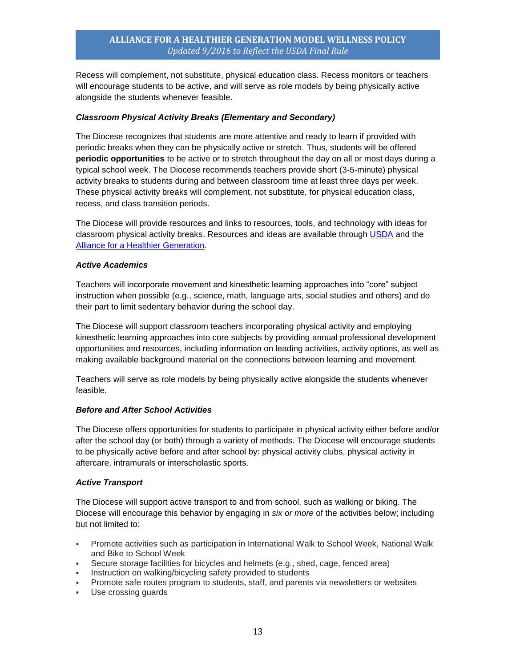Recess will complement, not substitute, physical education class. Recess monitors or teachers will encourage students to be active, and will serve as role models by being physically active alongside the students whenever feasible.

#### *Classroom Physical Activity Breaks (Elementary and Secondary)*

The Diocese recognizes that students are more attentive and ready to learn if provided with periodic breaks when they can be physically active or stretch. Thus, students will be offered **periodic opportunities** to be active or to stretch throughout the day on all or most days during a typical school week. The Diocese recommends teachers provide short (3-5-minute) physical activity breaks to students during and between classroom time at least three days per week. These physical activity breaks will complement, not substitute, for physical education class, recess, and class transition periods.

The Diocese will provide resources and links to resources, tools, and technology with ideas for classroom physical activity breaks. Resources and ideas are available through [USDA](http://healthymeals.nal.usda.gov/resource-library/physical-activity-school-aged-children/activities-and-tools) and the [Alliance for a Healthier Generation.](https://www.healthiergeneration.org/take_action/schools/physical_activity/physical_activities/)

#### *Active Academics*

Teachers will incorporate movement and kinesthetic learning approaches into "core" subject instruction when possible (e.g., science, math, language arts, social studies and others) and do their part to limit sedentary behavior during the school day.

The Diocese will support classroom teachers incorporating physical activity and employing kinesthetic learning approaches into core subjects by providing annual professional development opportunities and resources, including information on leading activities, activity options, as well as making available background material on the connections between learning and movement.

Teachers will serve as role models by being physically active alongside the students whenever feasible.

#### *Before and After School Activities*

The Diocese offers opportunities for students to participate in physical activity either before and/or after the school day (or both) through a variety of methods. The Diocese will encourage students to be physically active before and after school by: physical activity clubs, physical activity in aftercare, intramurals or interscholastic sports.

#### *Active Transport*

The Diocese will support active transport to and from school, such as walking or biking. The Diocese will encourage this behavior by engaging in *six or more* of the activities below; including but not limited to:

- Promote activities such as participation in International Walk to School Week, National Walk and Bike to School Week
- Secure storage facilities for bicycles and helmets (e.g., shed, cage, fenced area)
- **Instruction on walking/bicycling safety provided to students**
- Promote safe routes program to students, staff, and parents via newsletters or websites
- Use crossing guards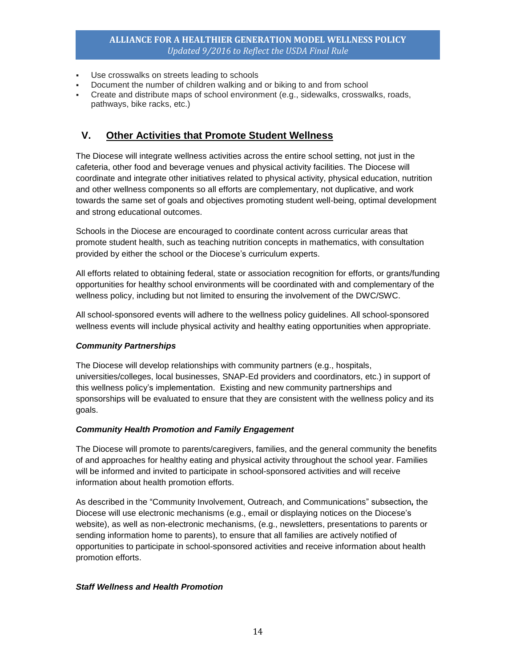- Use crosswalks on streets leading to schools
- Document the number of children walking and or biking to and from school
- Create and distribute maps of school environment (e.g., sidewalks, crosswalks, roads, pathways, bike racks, etc.)

# <span id="page-14-0"></span>**V. Other Activities that Promote Student Wellness**

The Diocese will integrate wellness activities across the entire school setting, not just in the cafeteria, other food and beverage venues and physical activity facilities. The Diocese will coordinate and integrate other initiatives related to physical activity, physical education, nutrition and other wellness components so all efforts are complementary, not duplicative, and work towards the same set of goals and objectives promoting student well-being, optimal development and strong educational outcomes.

Schools in the Diocese are encouraged to coordinate content across curricular areas that promote student health, such as teaching nutrition concepts in mathematics, with consultation provided by either the school or the Diocese's curriculum experts.

All efforts related to obtaining federal, state or association recognition for efforts, or grants/funding opportunities for healthy school environments will be coordinated with and complementary of the wellness policy, including but not limited to ensuring the involvement of the DWC/SWC.

All school-sponsored events will adhere to the wellness policy guidelines. All school-sponsored wellness events will include physical activity and healthy eating opportunities when appropriate.

#### *Community Partnerships*

The Diocese will develop relationships with community partners (e.g., hospitals, universities/colleges, local businesses, SNAP-Ed providers and coordinators, etc.) in support of this wellness policy's implementation. Existing and new community partnerships and sponsorships will be evaluated to ensure that they are consistent with the wellness policy and its goals.

#### *Community Health Promotion and Family Engagement*

The Diocese will promote to parents/caregivers, families, and the general community the benefits of and approaches for healthy eating and physical activity throughout the school year. Families will be informed and invited to participate in school-sponsored activities and will receive information about health promotion efforts.

As described in the "Community Involvement, Outreach, and Communications" subsection*,* the Diocese will use electronic mechanisms (e.g., email or displaying notices on the Diocese's website), as well as non-electronic mechanisms, (e.g., newsletters, presentations to parents or sending information home to parents), to ensure that all families are actively notified of opportunities to participate in school-sponsored activities and receive information about health promotion efforts.

#### *Staff Wellness and Health Promotion*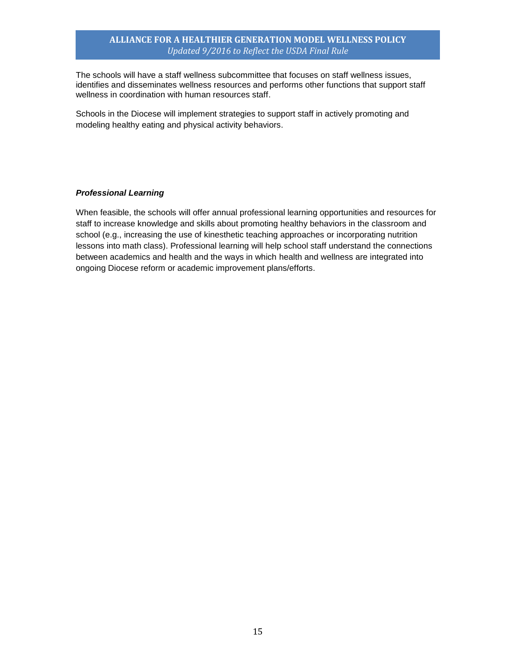The schools will have a staff wellness subcommittee that focuses on staff wellness issues, identifies and disseminates wellness resources and performs other functions that support staff wellness in coordination with human resources staff.

Schools in the Diocese will implement strategies to support staff in actively promoting and modeling healthy eating and physical activity behaviors.

#### *Professional Learning*

When feasible, the schools will offer annual professional learning opportunities and resources for staff to increase knowledge and skills about promoting healthy behaviors in the classroom and school (e.g., increasing the use of kinesthetic teaching approaches or incorporating nutrition lessons into math class). Professional learning will help school staff understand the connections between academics and health and the ways in which health and wellness are integrated into ongoing Diocese reform or academic improvement plans/efforts.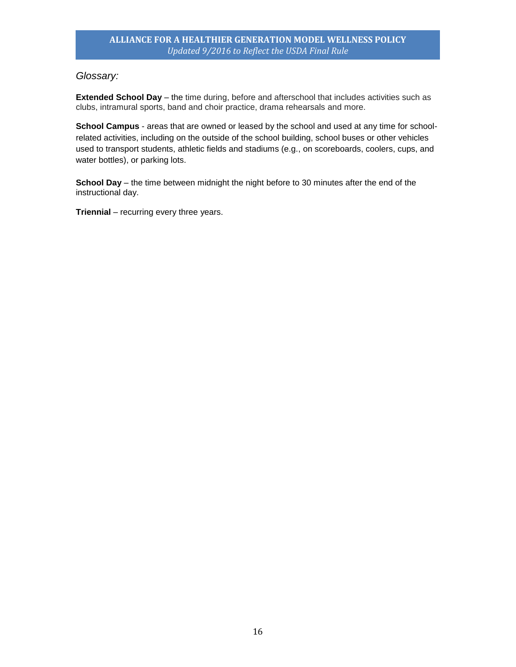## <span id="page-16-0"></span>*Glossary:*

**Extended School Day** – the time during, before and afterschool that includes activities such as clubs, intramural sports, band and choir practice, drama rehearsals and more.

**School Campus** - areas that are owned or leased by the school and used at any time for schoolrelated activities, including on the outside of the school building, school buses or other vehicles used to transport students, athletic fields and stadiums (e.g., on scoreboards, coolers, cups, and water bottles), or parking lots.

**School Day** – the time between midnight the night before to 30 minutes after the end of the instructional day.

**Triennial** – recurring every three years.